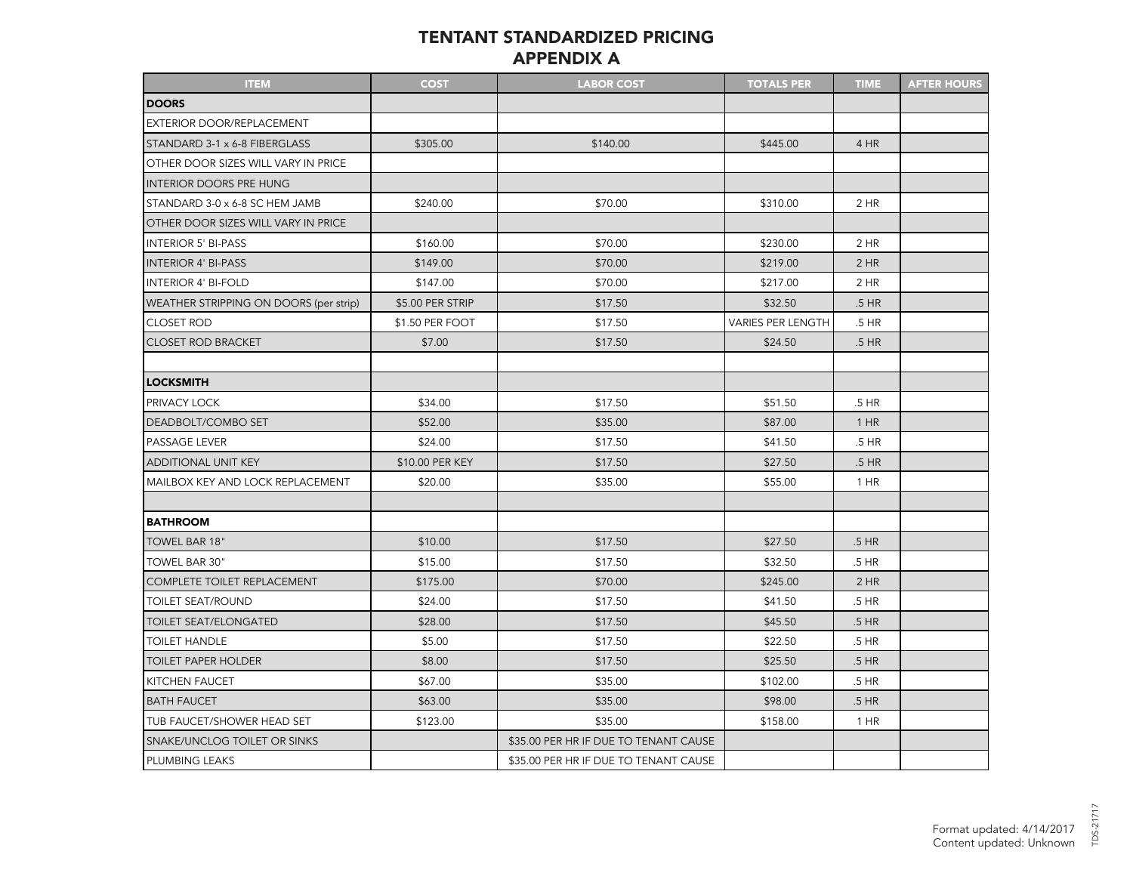## TENTANT STANDARDIZED PRICING APPENDIX A

| <b>ITEM</b>                            | <b>COST</b>      | <b>LABOR COST</b>                     | <b>TOTALS PER</b>        | <b>TIME</b> | <b>AFTER HOURS</b> |
|----------------------------------------|------------------|---------------------------------------|--------------------------|-------------|--------------------|
| <b>DOORS</b>                           |                  |                                       |                          |             |                    |
| EXTERIOR DOOR/REPLACEMENT              |                  |                                       |                          |             |                    |
| STANDARD 3-1 x 6-8 FIBERGLASS          | \$305.00         | \$140.00                              | \$445.00                 | 4 HR        |                    |
| OTHER DOOR SIZES WILL VARY IN PRICE    |                  |                                       |                          |             |                    |
| <b>INTERIOR DOORS PRE HUNG</b>         |                  |                                       |                          |             |                    |
| STANDARD 3-0 x 6-8 SC HEM JAMB         | \$240.00         | \$70.00                               | \$310.00                 | 2 HR        |                    |
| OTHER DOOR SIZES WILL VARY IN PRICE    |                  |                                       |                          |             |                    |
| <b>INTERIOR 5' BI-PASS</b>             | \$160.00         | \$70.00                               | \$230.00                 | 2 HR        |                    |
| <b>INTERIOR 4' BI-PASS</b>             | \$149.00         | \$70.00                               | \$219.00                 | $2$ HR      |                    |
| <b>INTERIOR 4' BI-FOLD</b>             | \$147.00         | \$70.00                               | \$217.00                 | 2 HR        |                    |
| WEATHER STRIPPING ON DOORS (per strip) | \$5.00 PER STRIP | \$17.50                               | \$32.50                  | .5 HR       |                    |
| <b>CLOSET ROD</b>                      | \$1.50 PER FOOT  | \$17.50                               | <b>VARIES PER LENGTH</b> | .5 HR       |                    |
| <b>CLOSET ROD BRACKET</b>              | \$7.00           | \$17.50                               | \$24.50                  | .5 HR       |                    |
|                                        |                  |                                       |                          |             |                    |
| <b>LOCKSMITH</b>                       |                  |                                       |                          |             |                    |
| PRIVACY LOCK                           | \$34.00          | \$17.50                               | \$51.50                  | .5 HR       |                    |
| DEADBOLT/COMBO SET                     | \$52.00          | \$35.00                               | \$87.00                  | $1$ HR      |                    |
| PASSAGE LEVER                          | \$24.00          | \$17.50                               | \$41.50                  | .5 HR       |                    |
| ADDITIONAL UNIT KEY                    | \$10.00 PER KEY  | \$17.50                               | \$27.50                  | .5 HR       |                    |
| MAILBOX KEY AND LOCK REPLACEMENT       | \$20.00          | \$35.00                               | \$55.00                  | $1$ HR      |                    |
|                                        |                  |                                       |                          |             |                    |
| <b>BATHROOM</b>                        |                  |                                       |                          |             |                    |
| TOWEL BAR 18"                          | \$10.00          | \$17.50                               | \$27.50                  | .5 HR       |                    |
| TOWEL BAR 30"                          | \$15.00          | \$17.50                               | \$32.50                  | .5 HR       |                    |
| COMPLETE TOILET REPLACEMENT            | \$175.00         | \$70.00                               | \$245.00                 | $2$ HR      |                    |
| <b>TOILET SEAT/ROUND</b>               | \$24.00          | \$17.50                               | \$41.50                  | .5 HR       |                    |
| TOILET SEAT/ELONGATED                  | \$28.00          | \$17.50                               | \$45.50                  | .5 HR       |                    |
| <b>TOILET HANDLE</b>                   | \$5.00           | \$17.50                               | \$22.50                  | .5 HR       |                    |
| <b>TOILET PAPER HOLDER</b>             | \$8.00           | \$17.50                               | \$25.50                  | .5 HR       |                    |
| KITCHEN FAUCET                         | \$67.00          | \$35.00                               | \$102.00                 | .5 HR       |                    |
| <b>BATH FAUCET</b>                     | \$63.00          | \$35.00                               | \$98.00                  | .5 HR       |                    |
| TUB FAUCET/SHOWER HEAD SET             | \$123.00         | \$35.00                               | \$158.00                 | 1 HR        |                    |
| SNAKE/UNCLOG TOILET OR SINKS           |                  | \$35.00 PER HR IF DUE TO TENANT CAUSE |                          |             |                    |
| PLUMBING LEAKS                         |                  | \$35.00 PER HR IF DUE TO TENANT CAUSE |                          |             |                    |

TDS-21717